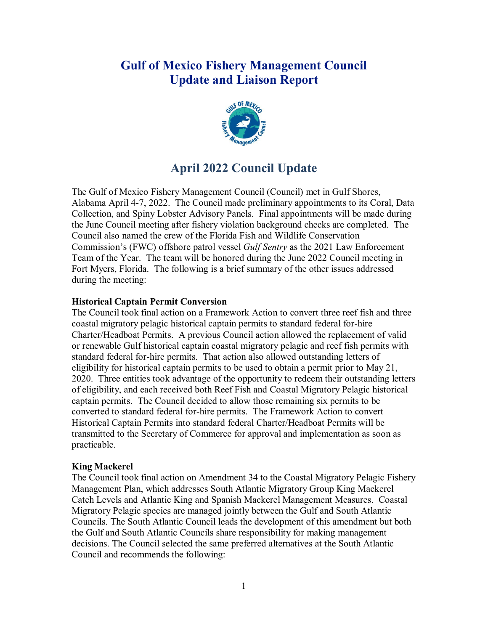# **Gulf of Mexico Fishery Management Council Update and Liaison Report**



# **April 2022 Council Update**

The Gulf of Mexico Fishery Management Council (Council) met in Gulf Shores, Alabama April 4-7, 2022. The Council made preliminary appointments to its Coral, Data Collection, and Spiny Lobster Advisory Panels. Final appointments will be made during the June Council meeting after fishery violation background checks are completed. The Council also named the crew of the Florida Fish and Wildlife Conservation Commission's (FWC) offshore patrol vessel *Gulf Sentry* as the 2021 Law Enforcement Team of the Year. The team will be honored during the June 2022 Council meeting in Fort Myers, Florida. The following is a brief summary of the other issues addressed during the meeting:

## **Historical Captain Permit Conversion**

The Council took final action on a Framework Action to convert three reef fish and three coastal migratory pelagic historical captain permits to standard federal for-hire Charter/Headboat Permits. A previous Council action allowed the replacement of valid or renewable Gulf historical captain coastal migratory pelagic and reef fish permits with standard federal for-hire permits. That action also allowed outstanding letters of eligibility for historical captain permits to be used to obtain a permit prior to May 21, 2020. Three entities took advantage of the opportunity to redeem their outstanding letters of eligibility, and each received both Reef Fish and Coastal Migratory Pelagic historical captain permits. The Council decided to allow those remaining six permits to be converted to standard federal for-hire permits. The Framework Action to convert Historical Captain Permits into standard federal Charter/Headboat Permits will be transmitted to the Secretary of Commerce for approval and implementation as soon as practicable.

#### **King Mackerel**

The Council took final action on Amendment 34 to the Coastal Migratory Pelagic Fishery Management Plan, which addresses South Atlantic Migratory Group King Mackerel Catch Levels and Atlantic King and Spanish Mackerel Management Measures. Coastal Migratory Pelagic species are managed jointly between the Gulf and South Atlantic Councils. The South Atlantic Council leads the development of this amendment but both the Gulf and South Atlantic Councils share responsibility for making management decisions. The Council selected the same preferred alternatives at the South Atlantic Council and recommends the following: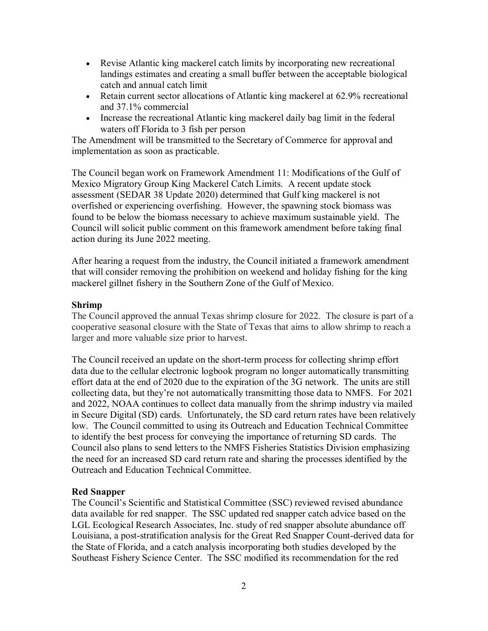- Revise Atlantic king mackerel catch limits by incorporating new recreational landings estimates and creating a small buffer between the acceptable biological catch and annual catch limit
- Retain current sector allocations of Atlantic king mackerel at 62.9% recreational and 37.1% commercial
- Increase the recreational Atlantic king mackerel daily bag limit in the federal waters off Florida to 3 fish per person

The Amendment will be transmitted to the Secretary of Commerce for approval and implementation as soon as practicable.

The Council began work on Framework Amendment 11: Modifications of the Gulf of Mexico Migratory Group King Mackerel Catch Limits. A recent update stock assessment (SEDAR 38 Update 2020) determined that Gulf king mackerel is not overfished or experiencing overfishing. However, the spawning stock biomass was found to be below the biomass necessary to achieve maximum sustainable yield. The Council will solicit public comment on this framework amendment before taking final action during its June 2022 meeting.

After hearing a request from the industry, the Council initiated a framework amendment that will consider removing the prohibition on weekend and holiday fishing for the king mackerel gillnet fishery in the Southern Zone of the Gulf of Mexico.

## **Shrimp**

The Council approved the annual Texas shrimp closure for 2022. The closure is part of a cooperative seasonal closure with the State of Texas that aims to allow shrimp to reach a larger and more valuable size prior to harvest.

The Council received an update on the short-term process for collecting shrimp effort data due to the cellular electronic logbook program no longer automatically transmitting effort data at the end of 2020 due to the expiration of the 3G network. The units are still collecting data, but they're not automatically transmitting those data to NMFS. For 2021 and 2022, NOAA continues to collect data manually from the shrimp industry via mailed in Secure Digital (SD) cards. Unfortunately, the SD card return rates have been relatively low. The Council committed to using its Outreach and Education Technical Committee to identify the best process for conveying the importance of returning SD cards. The Council also plans to send letters to the NMFS Fisheries Statistics Division emphasizing the need for an increased SD card return rate and sharing the processes identified by the Outreach and Education Technical Committee.

## **Red Snapper**

The Council's Scientific and Statistical Committee (SSC) reviewed revised abundance data available for red snapper. The SSC updated red snapper catch advice based on the LGL Ecological Research Associates, Inc. study of red snapper absolute abundance off Louisiana, a post-stratification analysis for the Great Red Snapper Count-derived data for the State of Florida, and a catch analysis incorporating both studies developed by the Southeast Fishery Science Center. The SSC modified its recommendation for the red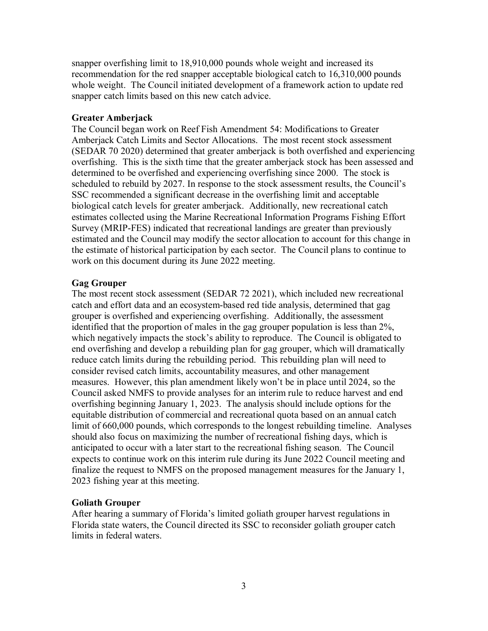snapper overfishing limit to 18,910,000 pounds whole weight and increased its recommendation for the red snapper acceptable biological catch to 16,310,000 pounds whole weight. The Council initiated development of a framework action to update red snapper catch limits based on this new catch advice.

#### **Greater Amberjack**

The Council began work on Reef Fish Amendment 54: Modifications to Greater Amberjack Catch Limits and Sector Allocations. The most recent stock assessment (SEDAR 70 2020) determined that greater amberjack is both overfished and experiencing overfishing. This is the sixth time that the greater amberjack stock has been assessed and determined to be overfished and experiencing overfishing since 2000. The stock is scheduled to rebuild by 2027. In response to the stock assessment results, the Council's SSC recommended a significant decrease in the overfishing limit and acceptable biological catch levels for greater amberjack. Additionally, new recreational catch estimates collected using the Marine Recreational Information Programs Fishing Effort Survey (MRIP-FES) indicated that recreational landings are greater than previously estimated and the Council may modify the sector allocation to account for this change in the estimate of historical participation by each sector. The Council plans to continue to work on this document during its June 2022 meeting.

#### **Gag Grouper**

The most recent stock assessment (SEDAR 72 2021), which included new recreational catch and effort data and an ecosystem-based red tide analysis, determined that gag grouper is overfished and experiencing overfishing. Additionally, the assessment identified that the proportion of males in the gag grouper population is less than 2%, which negatively impacts the stock's ability to reproduce. The Council is obligated to end overfishing and develop a rebuilding plan for gag grouper, which will dramatically reduce catch limits during the rebuilding period. This rebuilding plan will need to consider revised catch limits, accountability measures, and other management measures. However, this plan amendment likely won't be in place until 2024, so the Council asked NMFS to provide analyses for an interim rule to reduce harvest and end overfishing beginning January 1, 2023. The analysis should include options for the equitable distribution of commercial and recreational quota based on an annual catch limit of 660,000 pounds, which corresponds to the longest rebuilding timeline. Analyses should also focus on maximizing the number of recreational fishing days, which is anticipated to occur with a later start to the recreational fishing season. The Council expects to continue work on this interim rule during its June 2022 Council meeting and finalize the request to NMFS on the proposed management measures for the January 1, 2023 fishing year at this meeting.

#### **Goliath Grouper**

After hearing a summary of Florida's limited goliath grouper harvest regulations in Florida state waters, the Council directed its SSC to reconsider goliath grouper catch limits in federal waters.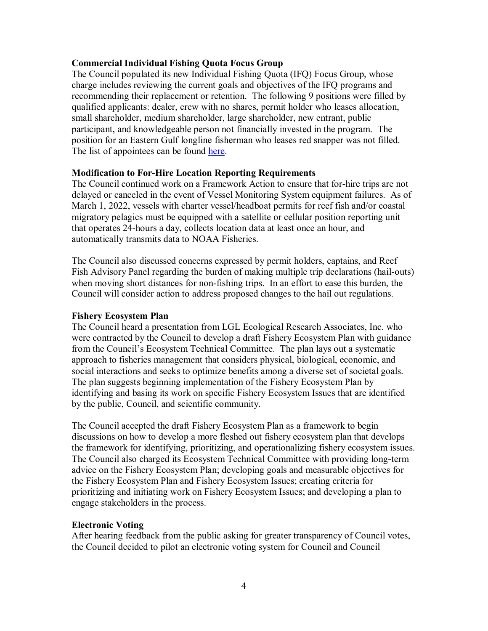## **Commercial Individual Fishing Quota Focus Group**

The Council populated its new Individual Fishing Quota (IFQ) Focus Group, whose charge includes reviewing the current goals and objectives of the IFQ programs and recommending their replacement or retention. The following 9 positions were filled by qualified applicants: dealer, crew with no shares, permit holder who leases allocation, small shareholder, medium shareholder, large shareholder, new entrant, public participant, and knowledgeable person not financially invested in the program. The position for an Eastern Gulf longline fisherman who leases red snapper was not filled. The list of appointees can be found [here.](https://gulfcouncil.org/committee-panel-membership/advisory-panels-2/)

## **Modification to For-Hire Location Reporting Requirements**

The Council continued work on a Framework Action to ensure that for-hire trips are not delayed or canceled in the event of Vessel Monitoring System equipment failures. As of March 1, 2022, vessels with charter vessel/headboat permits for reef fish and/or coastal migratory pelagics must be equipped with a satellite or cellular position reporting unit that operates 24-hours a day, collects location data at least once an hour, and automatically transmits data to NOAA Fisheries.

The Council also discussed concerns expressed by permit holders, captains, and Reef Fish Advisory Panel regarding the burden of making multiple trip declarations (hail-outs) when moving short distances for non-fishing trips. In an effort to ease this burden, the Council will consider action to address proposed changes to the hail out regulations.

#### **Fishery Ecosystem Plan**

The Council heard a presentation from LGL Ecological Research Associates, Inc. who were contracted by the Council to develop a draft Fishery Ecosystem Plan with guidance from the Council's Ecosystem Technical Committee. The plan lays out a systematic approach to fisheries management that considers physical, biological, economic, and social interactions and seeks to optimize benefits among a diverse set of societal goals. The plan suggests beginning implementation of the Fishery Ecosystem Plan by identifying and basing its work on specific Fishery Ecosystem Issues that are identified by the public, Council, and scientific community.

The Council accepted the draft Fishery Ecosystem Plan as a framework to begin discussions on how to develop a more fleshed out fishery ecosystem plan that develops the framework for identifying, prioritizing, and operationalizing fishery ecosystem issues. The Council also charged its Ecosystem Technical Committee with providing long-term advice on the Fishery Ecosystem Plan; developing goals and measurable objectives for the Fishery Ecosystem Plan and Fishery Ecosystem Issues; creating criteria for prioritizing and initiating work on Fishery Ecosystem Issues; and developing a plan to engage stakeholders in the process.

#### **Electronic Voting**

After hearing feedback from the public asking for greater transparency of Council votes, the Council decided to pilot an electronic voting system for Council and Council